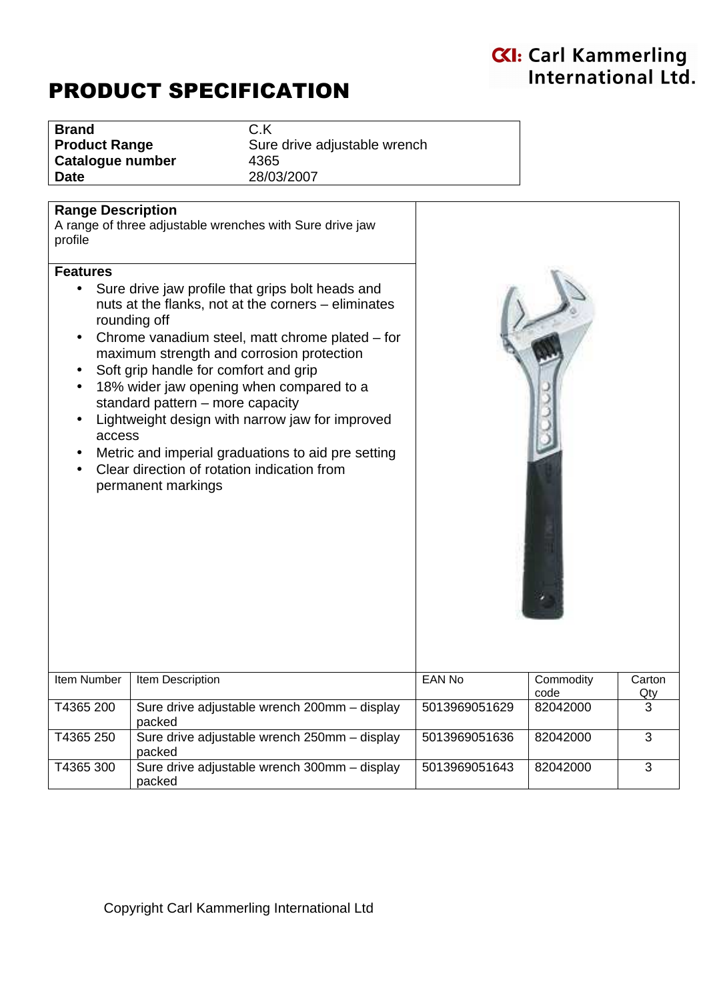# PRODUCT SPECIFICATION

| <b>Brand</b>         |
|----------------------|
| <b>Product Range</b> |
| Catalogue number     |
| Date                 |

**Brand** C.K **Sure drive adjustable wrench Catalogue number** 4365 **Date** 28/03/2007

#### **Range Description**

A range of three adjustable wrenches with Sure drive jaw profile

#### **Features**

- Sure drive jaw profile that grips bolt heads and nuts at the flanks, not at the corners – eliminates rounding off
- Chrome vanadium steel, matt chrome plated for maximum strength and corrosion protection
- Soft grip handle for comfort and grip
- 18% wider jaw opening when compared to a standard pattern – more capacity
- Lightweight design with narrow jaw for improved access
- Metric and imperial graduations to aid pre setting
- Clear direction of rotation indication from permanent markings



| Item Number | Item Description                                       | EAN No        | Commodity<br>code | Carton<br>Qty |
|-------------|--------------------------------------------------------|---------------|-------------------|---------------|
| T4365 200   | Sure drive adjustable wrench 200mm - display<br>packed | 5013969051629 | 82042000          |               |
| T4365 250   | Sure drive adjustable wrench 250mm - display<br>packed | 5013969051636 | 82042000          |               |
| T4365 300   | Sure drive adjustable wrench 300mm - display<br>packed | 5013969051643 | 82042000          | З             |

## Copyright Carl Kammerling International Ltd

# **KI: Carl Kammerling** International Ltd.